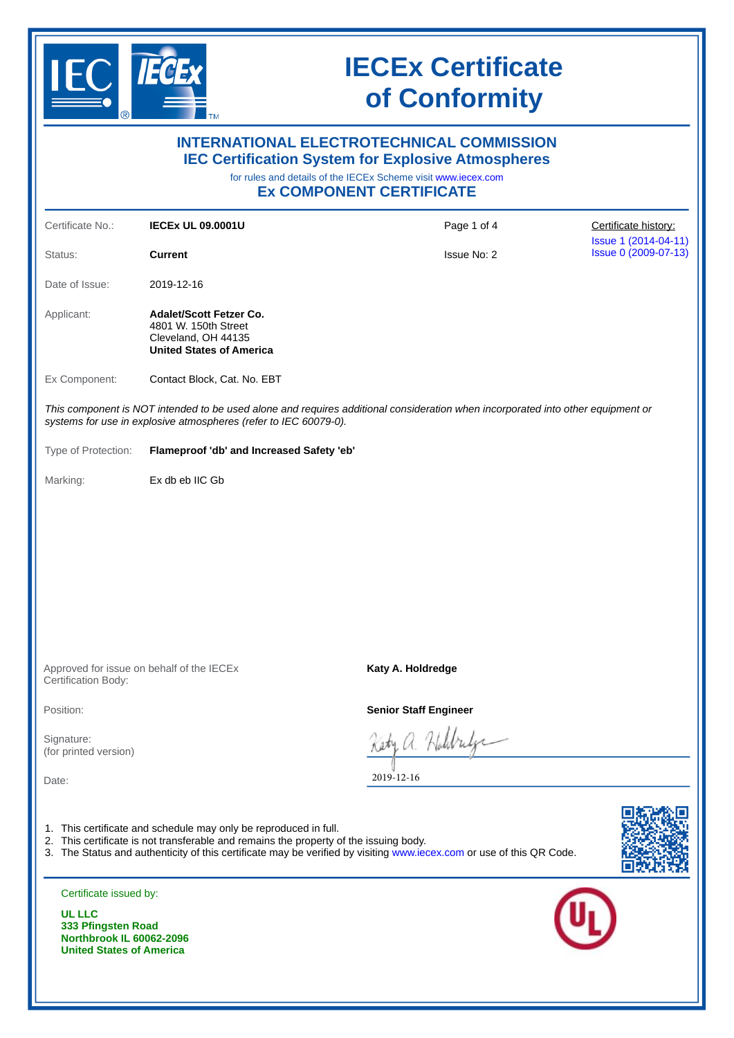

|                                                                                          |                                                                                                                                                           | <b>INTERNATIONAL ELECTROTECHNICAL COMMISSION</b><br><b>IEC Certification System for Explosive Atmospheres</b><br>for rules and details of the IECEx Scheme visit www.iecex.com<br><b>Ex COMPONENT CERTIFICATE</b> |                                              |  |
|------------------------------------------------------------------------------------------|-----------------------------------------------------------------------------------------------------------------------------------------------------------|-------------------------------------------------------------------------------------------------------------------------------------------------------------------------------------------------------------------|----------------------------------------------|--|
| Certificate No.:                                                                         | <b>IECEX UL 09.0001U</b>                                                                                                                                  | Page 1 of 4                                                                                                                                                                                                       | Certificate history:                         |  |
| Status:                                                                                  | <b>Current</b>                                                                                                                                            | <b>Issue No: 2</b>                                                                                                                                                                                                | Issue 1 (2014-04-11)<br>Issue 0 (2009-07-13) |  |
| Date of Issue:                                                                           | 2019-12-16                                                                                                                                                |                                                                                                                                                                                                                   |                                              |  |
| Applicant:                                                                               | <b>Adalet/Scott Fetzer Co.</b><br>4801 W. 150th Street<br>Cleveland, OH 44135<br><b>United States of America</b>                                          |                                                                                                                                                                                                                   |                                              |  |
| Ex Component:                                                                            | Contact Block, Cat. No. EBT                                                                                                                               |                                                                                                                                                                                                                   |                                              |  |
|                                                                                          | systems for use in explosive atmospheres (refer to IEC 60079-0).                                                                                          | This component is NOT intended to be used alone and requires additional consideration when incorporated into other equipment or                                                                                   |                                              |  |
| Type of Protection:                                                                      | Flameproof 'db' and Increased Safety 'eb'                                                                                                                 |                                                                                                                                                                                                                   |                                              |  |
| Marking:                                                                                 | Ex db eb IIC Gb                                                                                                                                           |                                                                                                                                                                                                                   |                                              |  |
|                                                                                          | Approved for issue on behalf of the IECEx                                                                                                                 | Katy A. Holdredge                                                                                                                                                                                                 |                                              |  |
| Certification Body:                                                                      |                                                                                                                                                           |                                                                                                                                                                                                                   |                                              |  |
| Position:                                                                                |                                                                                                                                                           | <b>Senior Staff Engineer</b>                                                                                                                                                                                      |                                              |  |
| Signature:<br>(for printed version)                                                      |                                                                                                                                                           |                                                                                                                                                                                                                   |                                              |  |
| Date:                                                                                    |                                                                                                                                                           | 2019-12-16                                                                                                                                                                                                        |                                              |  |
|                                                                                          | 1. This certificate and schedule may only be reproduced in full.<br>2. This certificate is not transferable and remains the property of the issuing body. | 3. The Status and authenticity of this certificate may be verified by visiting www.iecex.com or use of this QR Code.                                                                                              |                                              |  |
| Certificate issued by:<br><b>UL LLC</b>                                                  |                                                                                                                                                           |                                                                                                                                                                                                                   |                                              |  |
| 333 Pfingsten Road<br><b>Northbrook IL 60062-2096</b><br><b>United States of America</b> |                                                                                                                                                           |                                                                                                                                                                                                                   |                                              |  |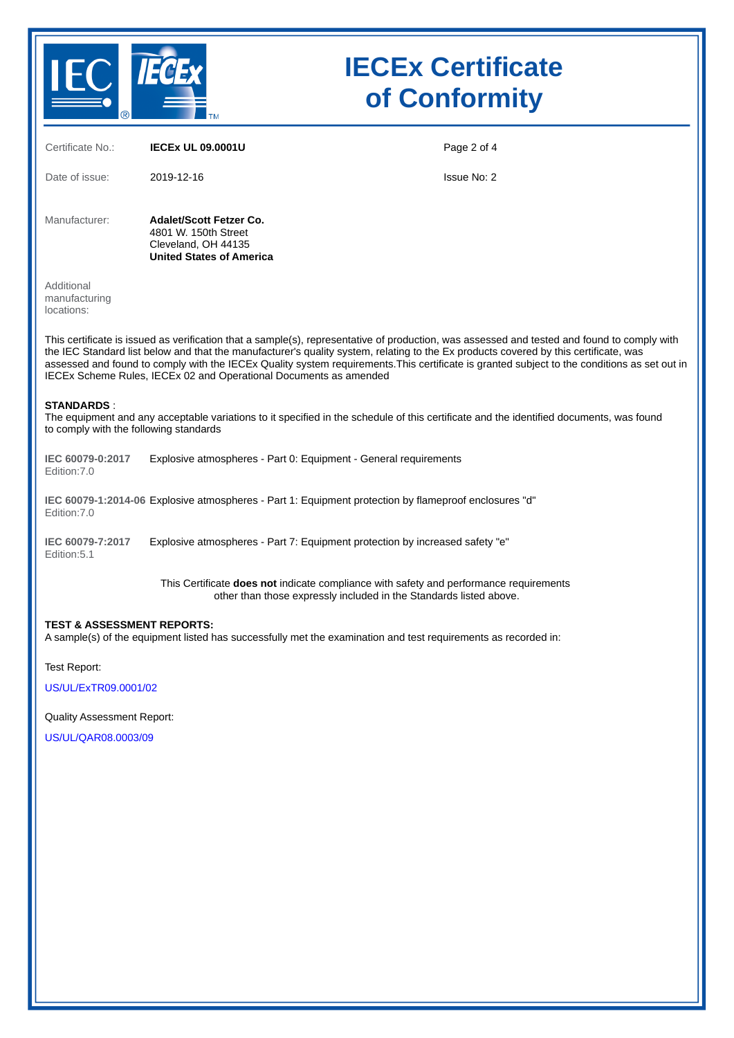

| Certificate No.:                                                                                                                                                                                                                                                                                                                                                                                                                                                                                         | <b>IECEX UL 09.0001U</b>                                                                                                                                     | Page 2 of 4 |  |
|----------------------------------------------------------------------------------------------------------------------------------------------------------------------------------------------------------------------------------------------------------------------------------------------------------------------------------------------------------------------------------------------------------------------------------------------------------------------------------------------------------|--------------------------------------------------------------------------------------------------------------------------------------------------------------|-------------|--|
| Date of issue:                                                                                                                                                                                                                                                                                                                                                                                                                                                                                           | 2019-12-16                                                                                                                                                   | Issue No: 2 |  |
| Manufacturer:                                                                                                                                                                                                                                                                                                                                                                                                                                                                                            | <b>Adalet/Scott Fetzer Co.</b><br>4801 W. 150th Street<br>Cleveland, OH 44135<br><b>United States of America</b>                                             |             |  |
| Additional<br>manufacturing<br>locations:                                                                                                                                                                                                                                                                                                                                                                                                                                                                |                                                                                                                                                              |             |  |
| This certificate is issued as verification that a sample(s), representative of production, was assessed and tested and found to comply with<br>the IEC Standard list below and that the manufacturer's quality system, relating to the Ex products covered by this certificate, was<br>assessed and found to comply with the IECEx Quality system requirements. This certificate is granted subject to the conditions as set out in<br>IECEx Scheme Rules, IECEx 02 and Operational Documents as amended |                                                                                                                                                              |             |  |
| <b>STANDARDS:</b><br>The equipment and any acceptable variations to it specified in the schedule of this certificate and the identified documents, was found<br>to comply with the following standards                                                                                                                                                                                                                                                                                                   |                                                                                                                                                              |             |  |
| IEC 60079-0:2017<br>Edition: 7.0                                                                                                                                                                                                                                                                                                                                                                                                                                                                         | Explosive atmospheres - Part 0: Equipment - General requirements                                                                                             |             |  |
| IEC 60079-1:2014-06 Explosive atmospheres - Part 1: Equipment protection by flameproof enclosures "d"<br>Edition: 7.0                                                                                                                                                                                                                                                                                                                                                                                    |                                                                                                                                                              |             |  |
| IEC 60079-7:2017<br>Edition:5.1                                                                                                                                                                                                                                                                                                                                                                                                                                                                          | Explosive atmospheres - Part 7: Equipment protection by increased safety "e"                                                                                 |             |  |
|                                                                                                                                                                                                                                                                                                                                                                                                                                                                                                          | This Certificate does not indicate compliance with safety and performance requirements<br>other than those expressly included in the Standards listed above. |             |  |
| <b>TEST &amp; ASSESSMENT REPORTS:</b><br>A sample(s) of the equipment listed has successfully met the examination and test requirements as recorded in:                                                                                                                                                                                                                                                                                                                                                  |                                                                                                                                                              |             |  |
| Test Report:                                                                                                                                                                                                                                                                                                                                                                                                                                                                                             |                                                                                                                                                              |             |  |

[US/UL/ExTR09.0001/02](https://www.iecex-certs.com/deliverables/REPORT/62262/view)

Quality Assessment Report:

[US/UL/QAR08.0003/09](https://www.iecex-certs.com/deliverables/REPORT/61366/view)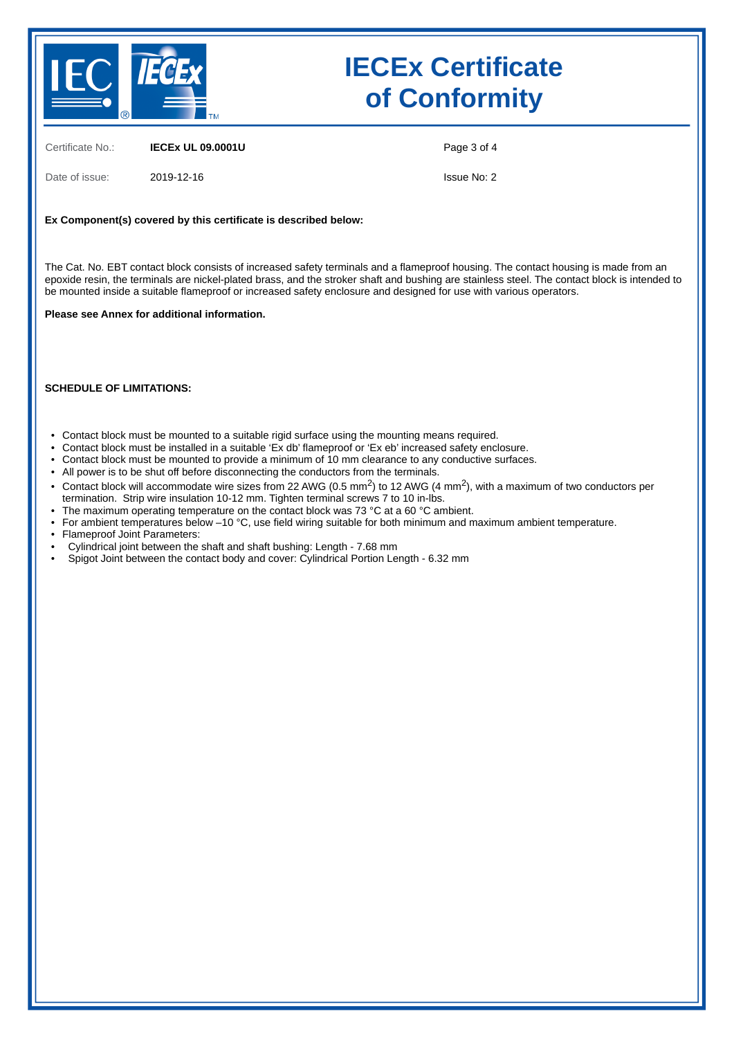

Certificate No.: **IECEx UL 09.0001U**

Date of issue: 2019-12-16

Page 3 of 4

Issue No: 2

#### **Ex Component(s) covered by this certificate is described below:**

The Cat. No. EBT contact block consists of increased safety terminals and a flameproof housing. The contact housing is made from an epoxide resin, the terminals are nickel-plated brass, and the stroker shaft and bushing are stainless steel. The contact block is intended to be mounted inside a suitable flameproof or increased safety enclosure and designed for use with various operators.

#### **Please see Annex for additional information.**

#### **SCHEDULE OF LIMITATIONS:**

- Contact block must be mounted to a suitable rigid surface using the mounting means required.
- Contact block must be installed in a suitable 'Ex db' flameproof or 'Ex eb' increased safety enclosure.
- Contact block must be mounted to provide a minimum of 10 mm clearance to any conductive surfaces.
- All power is to be shut off before disconnecting the conductors from the terminals.
- Contact block will accommodate wire sizes from 22 AWG (0.5 mm<sup>2</sup>) to 12 AWG (4 mm<sup>2</sup>), with a maximum of two conductors per termination. Strip wire insulation 10-12 mm. Tighten terminal screws 7 to 10 in-lbs.
- The maximum operating temperature on the contact block was 73 °C at a 60 °C ambient.
- For ambient temperatures below –10 °C, use field wiring suitable for both minimum and maximum ambient temperature.
- Flameproof Joint Parameters:
- Cylindrical joint between the shaft and shaft bushing: Length - 7.68 mm
- Spigot Joint between the contact body and cover: Cylindrical Portion Length - 6.32 mm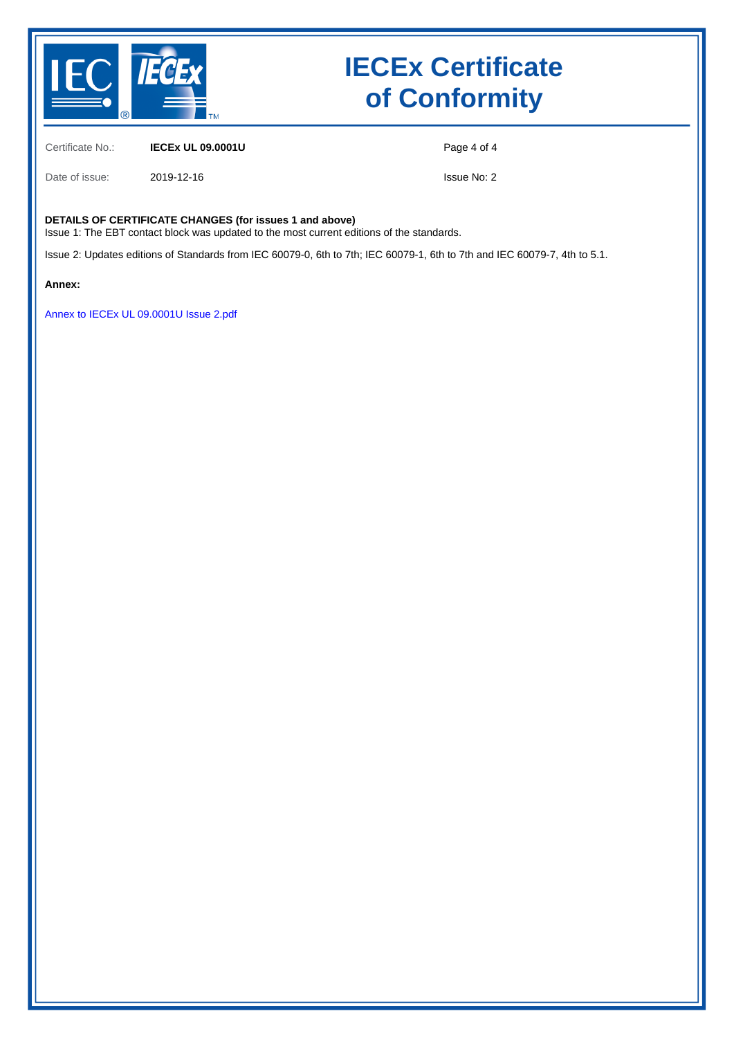

Certificate No.: **IECEx UL 09.0001U**

Page 4 of 4

Date of issue: 2019-12-16

Issue No: 2

#### **DETAILS OF CERTIFICATE CHANGES (for issues 1 and above)**

Issue 1: The EBT contact block was updated to the most current editions of the standards.

Issue 2: Updates editions of Standards from IEC 60079-0, 6th to 7th; IEC 60079-1, 6th to 7th and IEC 60079-7, 4th to 5.1.

**Annex:**

[Annex to IECEx UL 09.0001U Issue 2.pdf](https://www.iecex-certs.com/deliverables/CERT/45647/view)